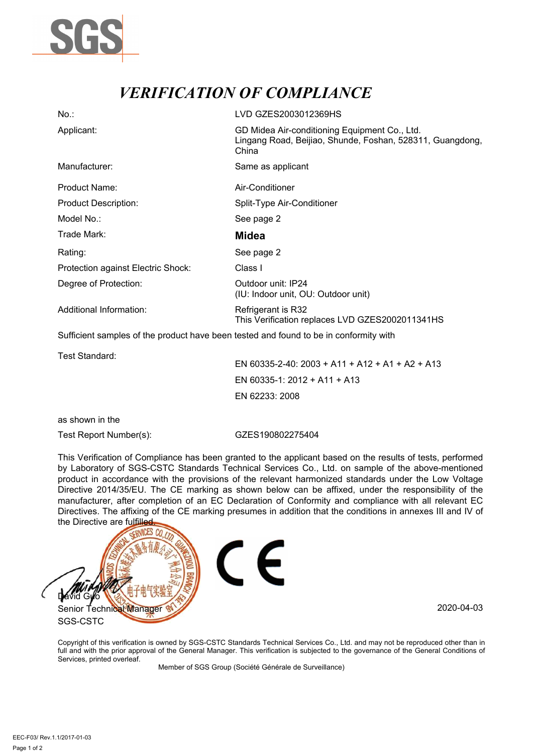

## *VERIFICATION OF COMPLIANCE*

| $No.$ :                                                                               | LVD GZES2003012369HS                                                                                                |
|---------------------------------------------------------------------------------------|---------------------------------------------------------------------------------------------------------------------|
| Applicant:                                                                            | GD Midea Air-conditioning Equipment Co., Ltd.<br>Lingang Road, Beijiao, Shunde, Foshan, 528311, Guangdong,<br>China |
| Manufacturer:                                                                         | Same as applicant                                                                                                   |
| Product Name:                                                                         | Air-Conditioner                                                                                                     |
| <b>Product Description:</b>                                                           | Split-Type Air-Conditioner                                                                                          |
| Model No.:                                                                            | See page 2                                                                                                          |
| Trade Mark:                                                                           | <b>Midea</b>                                                                                                        |
| Rating:                                                                               | See page 2                                                                                                          |
| Protection against Electric Shock:                                                    | Class I                                                                                                             |
| Degree of Protection:                                                                 | Outdoor unit: IP24<br>(IU: Indoor unit, OU: Outdoor unit)                                                           |
| Additional Information:                                                               | Refrigerant is R32<br>This Verification replaces LVD GZES2002011341HS                                               |
| Sufficient samples of the product have been tested and found to be in conformity with |                                                                                                                     |

Test Standard:

EN 60335-2-40: 2003 + A11 + A12 + A1 + A2 + A13 EN 60335-1: 2012 + A11 + A13 EN 62233: 2008

as shown in the

Test Report Number(s): GZES190802275404

This Verification of Compliance has been granted to the applicant based on the results of tests, performed by Laboratory of SGS-CSTC Standards Technical Services Co., Ltd. on sample of the above-mentioned product in accordance with the provisions of the relevant harmonized standards under the Low Voltage Directive 2014/35/EU. The CE marking as shown below can be affixed, under the responsibility of the manufacturer, after completion of an EC Declaration of Conformity and compliance with all relevant EC Directives. The affixing of the CE marking presumes in addition that the conditions in annexes III and IV of the Directive are fulfilled



Copyright of this verification is owned by SGS-CSTC Standards Technical Services Co., Ltd. and may not be reproduced other than in full and with the prior approval of the General Manager. This verification is subjected to the governance of the General Conditions of Services, printed overleaf.

Member of SGS Group (Société Générale de Surveillance)